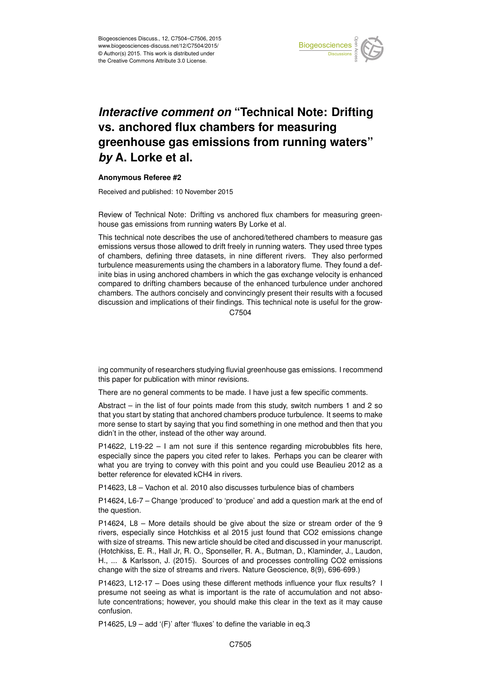

## *Interactive comment on* **"Technical Note: Drifting vs. anchored flux chambers for measuring greenhouse gas emissions from running waters"** *by* **A. Lorke et al.**

## **Anonymous Referee #2**

Received and published: 10 November 2015

this paper for publication with minor revisions.

Review of Technical Note: Drifting vs anchored flux chambers for measuring greenhouse gas emissions from running waters By Lorke et al.

This technical note describes the use of anchored/tethered chambers to measure gas emissions versus those allowed to drift freely in running waters. They used three types of chambers, defining three datasets, in nine different rivers. They also performed turbulence measurements using the chambers in a laboratory flume. They found a definite bias in using anchored chambers in which the gas exchange velocity is enhanced compared to drifting chambers because of the enhanced turbulence under anchored chambers. The authors concisely and convincingly present their results with a focused discussion and implications of their findings. This technical note is useful for the grow-C7504

ing community of researchers studying fluvial greenhouse gas emissions. I recommend

There are no general comments to be made. I have just a few specific comments.

Abstract – in the list of four points made from this study, switch numbers 1 and 2 so that you start by stating that anchored chambers produce turbulence. It seems to make more sense to start by saying that you find something in one method and then that you didn't in the other, instead of the other way around.

P14622, L19-22 – I am not sure if this sentence regarding microbubbles fits here, especially since the papers you cited refer to lakes. Perhaps you can be clearer with what you are trying to convey with this point and you could use Beaulieu 2012 as a better reference for elevated kCH4 in rivers.

P14623, L8 – Vachon et al. 2010 also discusses turbulence bias of chambers

P14624, L6-7 – Change 'produced' to 'produce' and add a question mark at the end of the question.

P14624, L8 – More details should be give about the size or stream order of the 9 rivers, especially since Hotchkiss et al 2015 just found that CO2 emissions change with size of streams. This new article should be cited and discussed in your manuscript. (Hotchkiss, E. R., Hall Jr, R. O., Sponseller, R. A., Butman, D., Klaminder, J., Laudon, H., ... & Karlsson, J. (2015). Sources of and processes controlling CO2 emissions change with the size of streams and rivers. Nature Geoscience, 8(9), 696-699.)

P14623, L12-17 – Does using these different methods influence your flux results? I presume not seeing as what is important is the rate of accumulation and not absolute concentrations; however, you should make this clear in the text as it may cause confusion.

P14625, L9 – add '(F)' after 'fluxes' to define the variable in eq.3